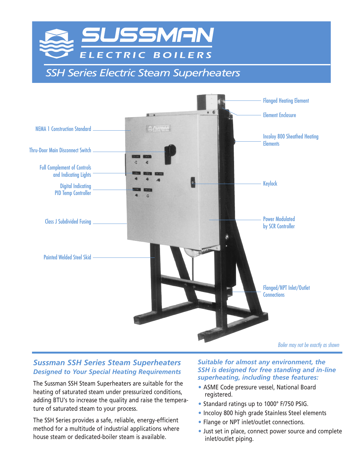

*SSH Series Electric Steam Superheaters*



# *Sussman SSH Series Steam Superheaters Designed to Your Special Heating Requirements*

The Sussman SSH Steam Superheaters are suitable for the heating of saturated steam under pressurized conditions, adding BTU's to increase the quality and raise the temperature of saturated steam to your process.

The SSH Series provides a safe, reliable, energy-efficient method for a multitude of industrial applications where house steam or dedicated-boiler steam is available.

#### *Suitable for almost any environment, the SSH is designed for free standing and in-line superheating, including these features:*

- ASME Code pressure vessel, National Board registered.
- Standard ratings up to 1000° F/750 PSIG.
- Incoloy 800 high grade Stainless Steel elements
- Flange or NPT inlet/outlet connections.
- Just set in place, connect power source and complete inlet/outlet piping.